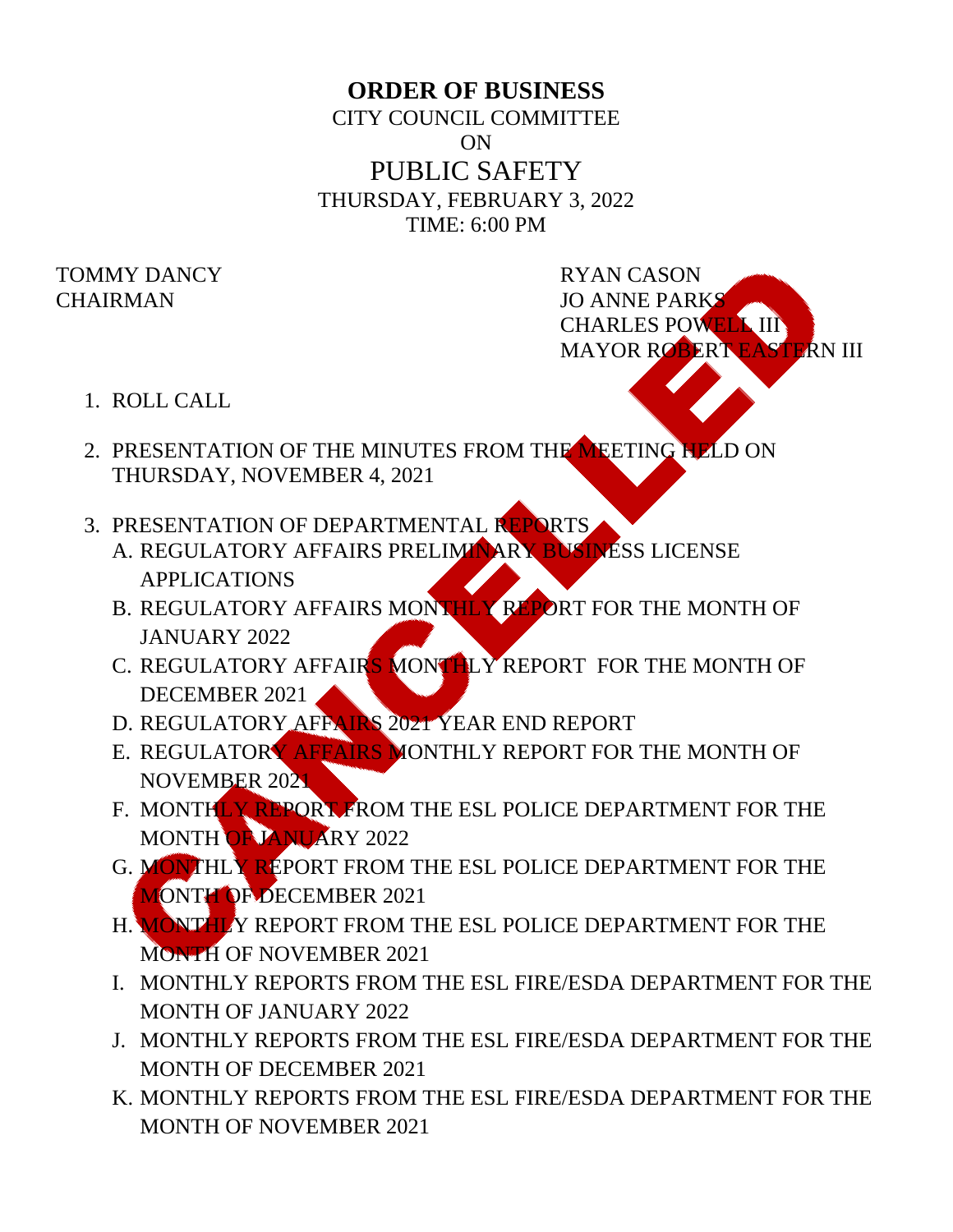## **ORDER OF BUSINESS**

CITY COUNCIL COMMITTEE ON PUBLIC SAFETY THURSDAY, FEBRUARY 3, 2022 TIME: 6:00 PM

## TOMMY DANCY RYAN CASON

CHAIRMAN JO ANNE PARKS CHARLES POWELL III MAYOR ROBERT EASTERN III

- 1. ROLL CALL
- 2. PRESENTATION OF THE MINUTES FROM THE MEETING HELD ON THURSDAY, NOVEMBER 4, 2021
- 3. PRESENTATION OF DEPARTMENTAL REPORTS
	- A. REGULATORY AFFAIRS PRELIMINARY BUSINESS LICENSE APPLICATIONS
	- B. REGULATORY AFFAIRS MONTHLY REPORT FOR THE MONTH OF JANUARY 2022
	- C. REGULATORY AFFAIRS MONTHLY REPORT FOR THE MONTH OF DECEMBER 2021
	- D. REGULATORY AFFAIRS 2021 YEAR END REPORT
	- E. REGULATORY AFFAIRS MONTHLY REPORT FOR THE MONTH OF NOVEMBER 2021
	- F. MONTHLY REPORT FROM THE ESL POLICE DEPARTMENT FOR THE MONTH OF JANUARY 2022
	- G. MONTHLY REPORT FROM THE ESL POLICE DEPARTMENT FOR THE MONTH OF DECEMBER 2021
	- H. MONTHLY REPORT FROM THE ESL POLICE DEPARTMENT FOR THE MONTH OF NOVEMBER 2021
	- I. MONTHLY REPORTS FROM THE ESL FIRE/ESDA DEPARTMENT FOR THE MONTH OF JANUARY 2022
	- J. MONTHLY REPORTS FROM THE ESL FIRE/ESDA DEPARTMENT FOR THE MONTH OF DECEMBER 2021
	- K. MONTHLY REPORTS FROM THE ESL FIRE/ESDA DEPARTMENT FOR THE MONTH OF NOVEMBER 2021